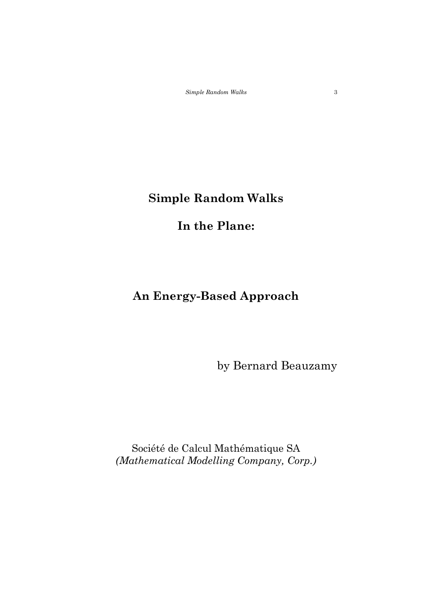### **In the Plane:**

### **An Energy-Based Approach**

by Bernard Beauzamy

Société de Calcul Mathématique SA *(Mathematical Modelling Company, Corp.)*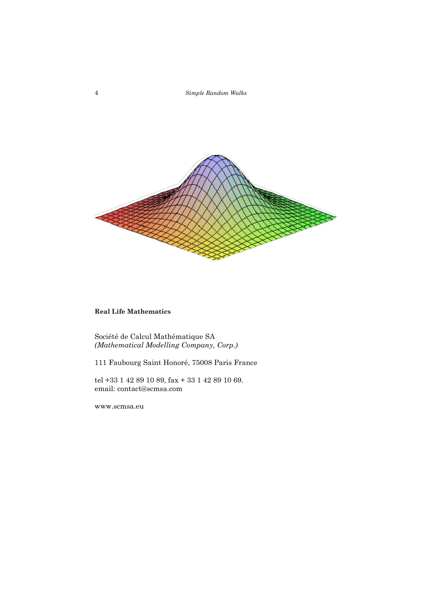

#### **Real Life Mathematics**

Société de Calcul Mathématique SA *(Mathematical Modelling Company, Corp.)*

111 Faubourg Saint Honoré, 75008 Paris France

tel +33 1 42 89 10 89, fax + 33 1 42 89 10 69. email: contact@scmsa.com

www.scmsa.eu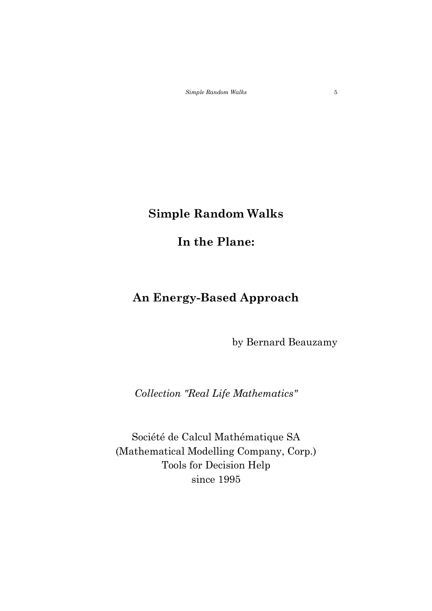## **Simple Random Walks**

## **In the Plane:**

# **An Energy-Based Approach**

by Bernard Beauzamy

*Collection "Real Life Mathematics"*

Société de Calcul Mathématique SA (Mathematical Modelling Company, Corp.) Tools for Decision Help since 1995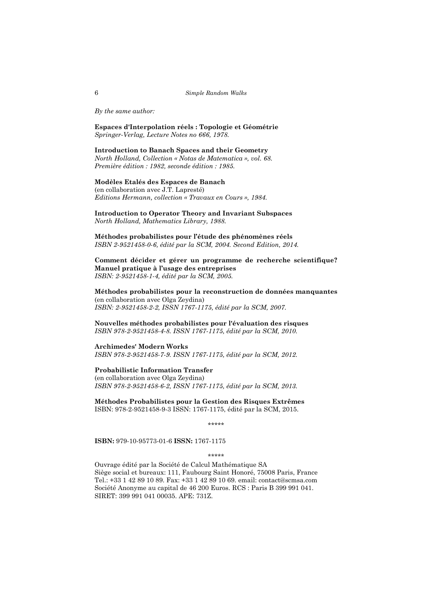*By the same author:*

**Espaces d'Interpolation réels : Topologie et Géométrie** *Springer-Verlag, Lecture Notes no 666, 1978.*

#### **Introduction to Banach Spaces and their Geometry** *North Holland, Collection « Notas de Matematica », vol. 68. Première édition : 1982, seconde édition : 1985.*

#### **Modèles Etalés des Espaces de Banach**

(en collaboration avec J.T. Lapresté) *Editions Hermann, collection « Travaux en Cours », 1984.*

**Introduction to Operator Theory and Invariant Subspaces** *North Holland, Mathematics Library, 1988.*

**Méthodes probabilistes pour l'étude des phénomènes réels** *ISBN 2-9521458-0-6, édité par la SCM, 2004. Second Edition, 2014.*

**Comment décider et gérer un programme de recherche scientifique? Manuel pratique à l'usage des entreprises** *ISBN: 2-9521458-1-4, édité par la SCM, 2005.*

**Méthodes probabilistes pour la reconstruction de données manquantes**  (en collaboration avec Olga Zeydina) *ISBN: 2-9521458-2-2, ISSN 1767-1175, édité par la SCM, 2007.*

**Nouvelles méthodes probabilistes pour l'évaluation des risques** *ISBN 978-2-9521458-4-8. ISSN 1767-1175, édité par la SCM, 2010.*

**Archimedes' Modern Works** *ISBN 978-2-9521458-7-9. ISSN 1767-1175, édité par la SCM, 2012.*

#### **Probabilistic Information Transfer**

(en collaboration avec Olga Zeydina) *ISBN 978-2-9521458-6-2, ISSN 1767-1175, édité par la SCM, 2013.*

**Méthodes Probabilistes pour la Gestion des Risques Extrêmes** ISBN: 978-2-9521458-9-3 ISSN: 1767-1175, édité par la SCM, 2015.

\*\*\*\*\*

**ISBN:** 979-10-95773-01-6 **ISSN:** 1767-1175

\*\*\*\*\*

Ouvrage édité par la Société de Calcul Mathématique SA Siège social et bureaux: 111, Faubourg Saint Honoré, 75008 Paris, France Tel.: +33 1 42 89 10 89. Fax: +33 1 42 89 10 69. email: contact@scmsa.com Société Anonyme au capital de 46 200 Euros. RCS : Paris B 399 991 041. SIRET: 399 991 041 00035. APE: 731Z.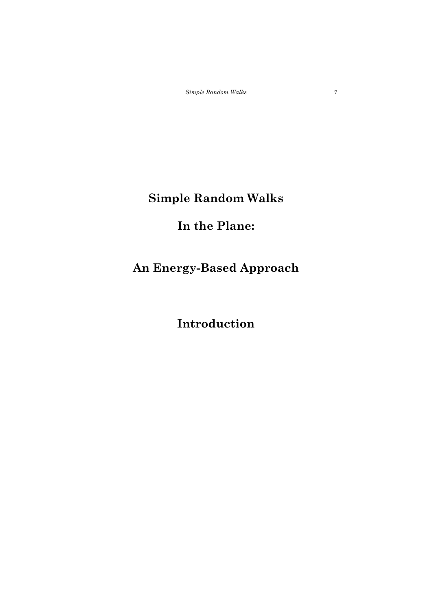# **In the Plane:**

# **An Energy-Based Approach**

# **Introduction**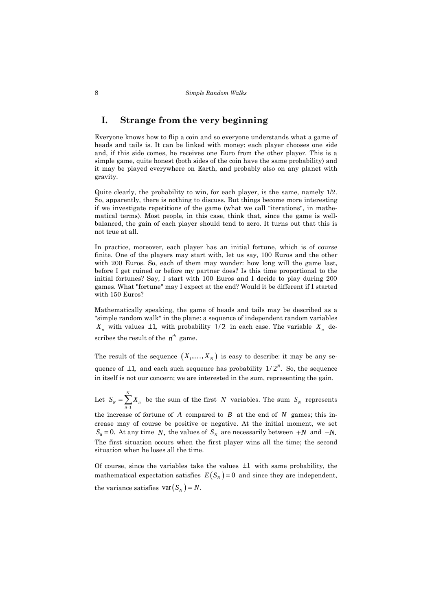### **I. Strange from the very beginning**

Everyone knows how to flip a coin and so everyone understands what a game of heads and tails is. It can be linked with money: each player chooses one side and, if this side comes, he receives one Euro from the other player. This is a simple game, quite honest (both sides of the coin have the same probability) and it may be played everywhere on Earth, and probably also on any planet with gravity.

Quite clearly, the probability to win, for each player, is the same, namely 1/2. So, apparently, there is nothing to discuss. But things become more interesting if we investigate repetitions of the game (what we call "iterations", in mathematical terms). Most people, in this case, think that, since the game is wellbalanced, the gain of each player should tend to zero. It turns out that this is not true at all.

In practice, moreover, each player has an initial fortune, which is of course finite. One of the players may start with, let us say, 100 Euros and the other with 200 Euros. So, each of them may wonder: how long will the game last, before I get ruined or before my partner does? Is this time proportional to the initial fortunes? Say, I start with 100 Euros and I decide to play during 200 games. What "fortune" may I expect at the end? Would it be different if I started with 150 Euros?

Mathematically speaking, the game of heads and tails may be described as a "simple random walk" in the plane: a sequence of independent random variables  $X_n$  with values  $\pm 1$ , with probability  $1/2$  in each case. The variable  $X_n$  describes the result of the  $n^{th}$  game.

The result of the sequence  $(X_1,...,X_N)$  is easy to describe: it may be any sequence of  $\pm 1$ , and each such sequence has probability  $1/2^N$ . So, the sequence in itself is not our concern; we are interested in the sum, representing the gain.

Let 1 *N*  $N - \sum_{n=1}^{\infty} \mathbf{A}_n$  $S_N = \sum X$  $=\sum_{n=1}^{\infty} X_n$  be the sum of the first *N* variables. The sum  $S_N$  represents

the increase of fortune of  $A$  compared to  $B$  at the end of  $N$  games; this increase may of course be positive or negative. At the initial moment, we set  $S_0 = 0$ . At any time *N*, the values of  $S_N$  are necessarily between  $+N$  and  $-N$ . The first situation occurs when the first player wins all the time; the second situation when he loses all the time.

Of course, since the variables take the values  $\pm 1$  with same probability, the mathematical expectation satisfies  $E(S_N) = 0$  and since they are independent, the variance satisfies  $var(S_N) = N$ .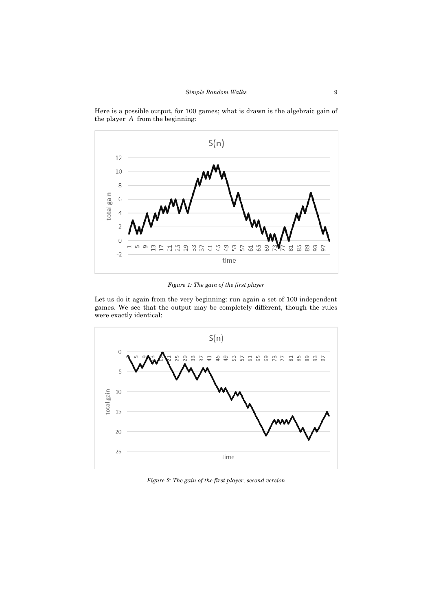

Here is a possible output, for 100 games; what is drawn is the algebraic gain of the player *A* from the beginning:

*Figure 1: The gain of the first player*

Let us do it again from the very beginning: run again a set of 100 independent games. We see that the output may be completely different, though the rules were exactly identical:



*Figure 2: The gain of the first player, second version*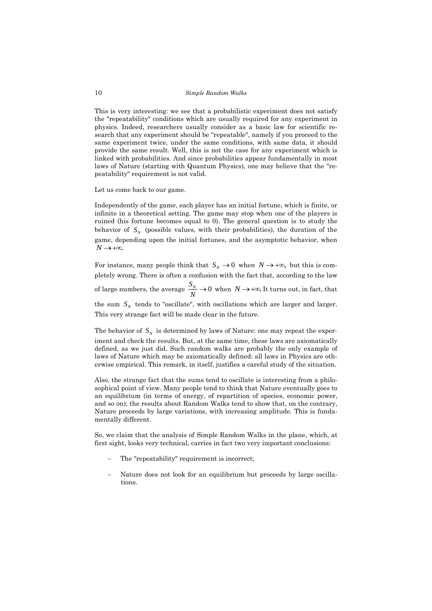This is very interesting: we see that a probabilistic experiment does not satisfy the "repeatability" conditions which are usually required for any experiment in physics. Indeed, researchers usually consider as a basic law for scientific research that any experiment should be "repeatable", namely if you proceed to the same experiment twice, under the same conditions, with same data, it should provide the same result. Well, this is not the case for any experiment which is linked with probabilities. And since probabilities appear fundamentally in most laws of Nature (starting with Quantum Physics), one may believe that the "repeatability" requirement is not valid.

Let us come back to our game.

Independently of the game, each player has an initial fortune, which is finite, or infinite in a theoretical setting. The game may stop when one of the players is ruined (his fortune becomes equal to 0). The general question is to study the behavior of  $S_N$  (possible values, with their probabilities), the duration of the game, depending upon the initial fortunes, and the asymptotic behavior, when  $N \rightarrow +\infty$ .

For instance, many people think that  $S_N \to 0$  when  $N \to +\infty$ , but this is completely wrong. There is often a confusion with the fact that, according to the law of large numbers, the average  $\frac{S_N}{S_N} \rightarrow 0$ *N*  $\rightarrow$  0 when  $N \rightarrow +\infty$ . It turns out, in fact, that the sum  $S_N$  tends to "oscillate", with oscillations which are larger and larger. This very strange fact will be made clear in the future.

The behavior of  $S_N$  is determined by laws of Nature: one may repeat the experiment and check the results. But, at the same time, these laws are axiomatically defined, as we just did. Such random walks are probably the only example of laws of Nature which may be axiomatically defined: all laws in Physics are otherwise empirical. This remark, in itself, justifies a careful study of the situation.

Also, the strange fact that the sums tend to oscillate is interesting from a philosophical point of view. Many people tend to think that Nature eventually goes to an equilibrium (in terms of energy, of repartition of species, economic power, and so on); the results about Random Walks tend to show that, on the contrary, Nature proceeds by large variations, with increasing amplitude. This is fundamentally different.

So, we claim that the analysis of Simple Random Walks in the plane, which, at first sight, looks very technical, carries in fact two very important conclusions:

- The "repeatability" requirement is incorrect:
- − Nature does not look for an equilibrium but proceeds by large oscillations.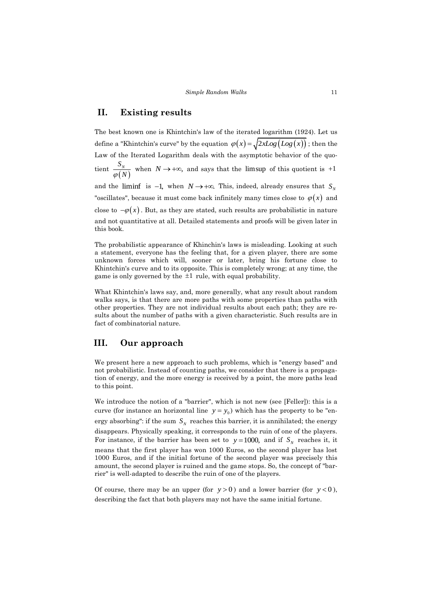### **II. Existing results**

The best known one is Khintchin's law of the iterated logarithm (1924). Let us define a "Khintchin's curve" by the equation  $\varphi(x) = \sqrt{2xLog(Log(x))}$ ; then the Law of the Iterated Logarithm deals with the asymptotic behavior of the quotient  $(N)$ *N S*  $\frac{B_N}{\varphi(N)}$  when  $N \to +\infty$ , and says that the limsup of this quotient is +1 and the liminf is  $-1$ , when  $N \rightarrow +\infty$ . This, indeed, already ensures that  $S_N$ "oscillates", because it must come back infinitely many times close to  $\varphi(x)$  and close to  $-\varphi(x)$ . But, as they are stated, such results are probabilistic in nature and not quantitative at all. Detailed statements and proofs will be given later in this book.

The probabilistic appearance of Khinchin's laws is misleading. Looking at such a statement, everyone has the feeling that, for a given player, there are some unknown forces which will, sooner or later, bring his fortune close to Khintchin's curve and to its opposite. This is completely wrong; at any time, the game is only governed by the 1 rule, with equal probability.

What Khintchin's laws say, and, more generally, what any result about random walks says, is that there are more paths with some properties than paths with other properties. They are not individual results about each path; they are results about the number of paths with a given characteristic. Such results are in fact of combinatorial nature.

### **III. Our approach**

We present here a new approach to such problems, which is "energy based" and not probabilistic. Instead of counting paths, we consider that there is a propagation of energy, and the more energy is received by a point, the more paths lead to this point.

We introduce the notion of a "barrier", which is not new (see [Feller]): this is a curve (for instance an horizontal line  $y = y_0$ ) which has the property to be "energy absorbing": if the sum  $S_N$  reaches this barrier, it is annihilated; the energy disappears. Physically speaking, it corresponds to the ruin of one of the players. For instance, if the barrier has been set to  $y = 1000$ , and if  $S_N$  reaches it, it means that the first player has won 1000 Euros, so the second player has lost 1000 Euros, and if the initial fortune of the second player was precisely this amount, the second player is ruined and the game stops. So, the concept of "barrier" is well-adapted to describe the ruin of one of the players.

Of course, there may be an upper (for  $y > 0$ ) and a lower barrier (for  $y < 0$ ), describing the fact that both players may not have the same initial fortune.